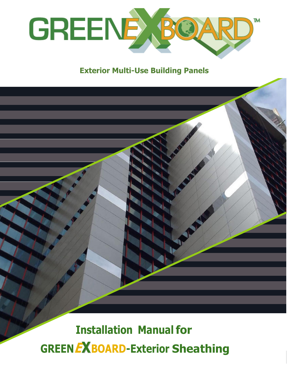

### **Exterior Multi-Use Building Panels**

# **Installation Manual for GREENEXBOARD-Exterior Sheathing**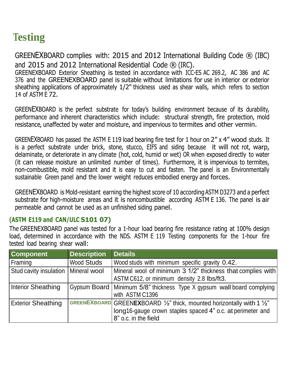## **- Testing**

GREENEXBOARD complies with: 2015 and 2012 International Building Code ® (IBC) and 2015 and 2012 International Residential Code ® (IRC).

GREENEXBOARD Exterior Sheathing is tested in accordance with ICC-ES AC 269.2, AC 386 and AC 376 and the GREENEXBOARD panel is suitable without limitations for use in interior or exterior sheathing applications of approximately 1/2" thickness used as shear walls, which refers to section 14 of ASTM E 72.

GREENEXBOARD is the perfect substrate for today's building environment because of its durability, performance and inherent characteristics which include: structural strength, fire protection, mold resistance, unaffected by water and moisture, and impervious to termites and other vermin.

GREENEXBOARD has passed the ASTM E 119 load bearing fire test for 1 hour on 2" x 4" wood studs. It is a perfect substrate under brick, stone, stucco, EIFS and siding because it will not rot, warp, delaminate, or deteriorate in any climate (hot, cold, humid or wet) OR when exposed directly to water (it can release moisture an unlimited number of times). Furthermore, it is impervious to termites, non-combustible, mold resistant and it is easy to cut and fasten. The panel is an Environmentally sustainable Green panel and the lower weight reduces embodied energy and forces.

GREENEXBOARD is Mold-resistant earning the highest score of 10 according ASTM D3273 and a perfect substrate for high-moisture areas and it is noncombustible according ASTM E 136. The panel is air permeable and cannot be used as an unfinished siding panel.

#### **(ASTM E119 and CAN/ULC S101 07)**

The GREENEXBOARD panel was tested for a 1-hour load bearing fire resistance rating at 100% design load, determined in accordance with the NDS. ASTM E 119 Testing components for the 1-hour fire tested load bearing shear wall:

| Component                 | <b>Description</b> | <b>Details</b>                                                                                                                                                                     |
|---------------------------|--------------------|------------------------------------------------------------------------------------------------------------------------------------------------------------------------------------|
| Framing                   | <b>Wood Studs</b>  | Wood studs with minimum specific gravity 0.42.                                                                                                                                     |
| Stud cavity insulation    | Mineral wool       | Mineral wool of minimum 3 1/2" thickness that complies with<br>ASTM C612, or minimum density 2.8 lbs/ft3.                                                                          |
| Interior Sheathing        |                    | Gypsum Board   Minimum 5/8" thickness Type X gypsum wall board complying<br>with ASTM C1396                                                                                        |
| <b>Exterior Sheathing</b> |                    | GREENEXBOARD GREENEXBOARD $\frac{1}{2}$ " thick, mounted horizontally with 1 $\frac{1}{2}$ "<br>long16-gauge crown staples spaced 4" o.c. at perimeter and<br>8" o.c. in the field |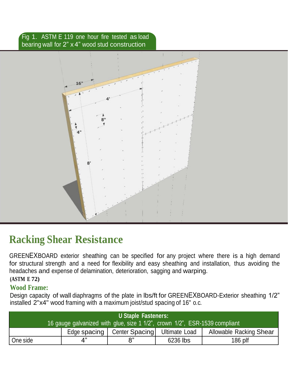#### Fig 1. ASTM E 119 one hour fire tested as load bearing wall for 2" x 4" wood stud construction



## **Racking Shear Resistance**

GREENEXBOARD exterior sheathing can be specified for any project where there is a high demand for structural strength and a need for flexibility and easy sheathing and installation, thus avoiding the headaches and expense of delamination, deterioration, sagging and warping.

**(ASTM E 72)**

### **Wood Frame:**

Design capacity of wall diaphragms of the plate in lbs/ft for GREENEXBOARD-Exterior sheathing 1/2" installed 2"x4" wood framing with a maximum joist/stud spacing of 16" o.c.

| <b>U Staple Fasteners:</b><br>16 gauge galvanized with glue, size 1 1/2", crown 1/2", ESR-1539 compliant |              |                |                      |                                |  |  |  |
|----------------------------------------------------------------------------------------------------------|--------------|----------------|----------------------|--------------------------------|--|--|--|
|                                                                                                          | Edge spacing | Center Spacing | <b>Ultimate Load</b> | <b>Allowable Racking Shear</b> |  |  |  |
| One side                                                                                                 | 4"           |                | 6236 lbs             | $186$ plf                      |  |  |  |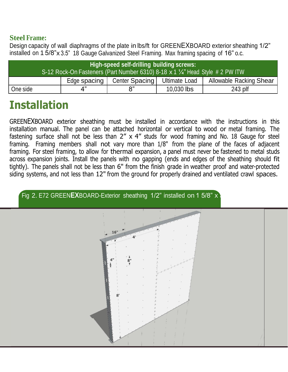#### **Steel Frame:**

Design capacity of wall diaphragms of the plate in lbs/ft for GREENEXBOARD exterior sheathing 1/2" installed on 1 5/8"x 3.5" 18 Gauge Galvanized Steel Framing. Max framing spacing of 16" o.c.

| High-speed self-drilling building screws:                                     |              |                |               |                                |  |  |
|-------------------------------------------------------------------------------|--------------|----------------|---------------|--------------------------------|--|--|
| S-12 Rock-On Fasteners (Part Number 6310) 8-18 x 1 1/4" Head Style # 2 PW ITW |              |                |               |                                |  |  |
|                                                                               | Edge spacing | Center Spacing | Ultimate Load | <b>Allowable Racking Shear</b> |  |  |
| One side                                                                      | 4"           |                | 10,030 lbs    | 243 plf                        |  |  |

## **Installation**

GREENEXBOARD exterior sheathing must be installed in accordance with the instructions in this installation manual. The panel can be attached horizontal or vertical to wood or metal framing. The fastening surface shall not be less than  $2'' \times 4''$  studs for wood framing and No. 18 Gauge for steel framing. Framing members shall not vary more than 1/8" from the plane of the faces of adjacent framing. For steel framing, to allow for thermal expansion, a panel must never be fastened to metal studs across expansion joints. Install the panels with no gapping (ends and edges of the sheathing should fit tightly). The panels shall not be less than 6" from the finish grade in weather proof and water-protected siding systems, and not less than 12" from the ground for properly drained and ventilated crawl spaces.

Fig 2. E72 GREEN**EX**BOARD-Exterior sheathing 1/2" installed on 1 5/8" x

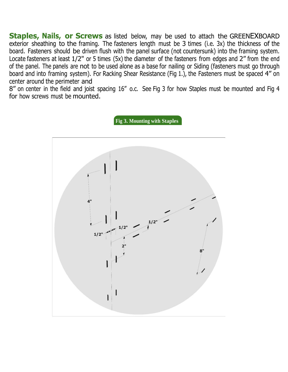**Staples, Nails, or Screws** as listed below, may be used to attach the GREENEXBOARD exterior sheathing to the framing. The fasteners length must be 3 times (i.e. 3x) the thickness of the board. Fasteners should be driven flush with the panel surface (not countersunk) into the framing system. Locate fasteners at least 1/2" or 5 times (5x) the diameter of the fasteners from edges and 2" from the end of the panel. The panels are not to be used alone as a base for nailing or Siding (fasteners must go through board and into framing system). For Racking Shear Resistance (Fig 1.), the Fasteners must be spaced 4" on center around the perimeter and

8" on center in the field and joist spacing 16" o.c. See Fig 3 for how Staples must be mounted and Fig 4 for how screws must be mounted.

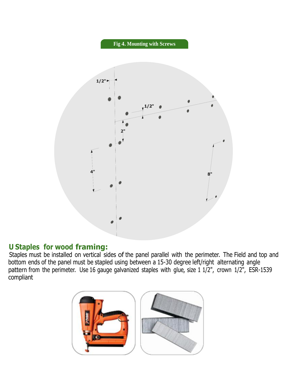

### **U Staples for wood framing:**

Staples must be installed on vertical sides of the panel parallel with the perimeter. The Field and top and bottom ends of the panel must be stapled using between a 15-30 degree left/right alternating angle pattern from the perimeter. Use 16 gauge galvanized staples with glue, size 1 1/2", crown 1/2", ESR-1539 compliant

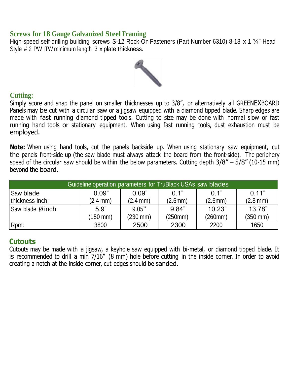#### **Screws for 18 Gauge Galvanized Steel Framing**

High-speed self-drilling building screws S-12 Rock-On Fasteners (Part Number 6310) 8-18 x 1 1/4" Head Style # 2 PW ITW minimum length 3 x plate thickness.



#### **Cutting:**

Simply score and snap the panel on smaller thicknesses up to 3/8", or alternatively all GREENEXBOARD Panels may be cut with a circular saw or a jigsaw equipped with a diamond tipped blade. Sharp edges are made with fast running diamond tipped tools. Cutting to size may be done with normal slow or fast running hand tools or stationary equipment. When using fast running tools, dust exhaustion must be employed.

**Note:** When using hand tools, cut the panels backside up. When using stationary saw equipment, cut the panels front-side up (the saw blade must always attack the board from the front-side). The periphery speed of the circular saw should be within the below parameters. Cutting depth 3/8" – 5/8" (10-15 mm) beyond the board.

| Guideline operation parameters for TruBlack USAs saw blades |          |                      |         |         |                    |  |  |
|-------------------------------------------------------------|----------|----------------------|---------|---------|--------------------|--|--|
| Saw blade                                                   | 0.09"    | 0.09"                | 0.1"    | 0.1"    | 0.11"              |  |  |
| thickness inch:                                             | (2.4 mm) | $(2.4 \text{ mm})$   | (2.6mm) | (2.6mm) | $(2.8 \text{ mm})$ |  |  |
| Saw blade $\varnothing$ inch:                               | 5.9"     | 9.05"                | 9.84"   | 10.23"  | 13.78"             |  |  |
|                                                             | (150 mm) | $(230 \, \text{mm})$ | (250mm) | (260mm) | (350 mm)           |  |  |
| Rpm:                                                        | 3800     | 2500                 | 2300    | 2200    | 1650               |  |  |

#### **Cutouts**

Cutouts may be made with a jigsaw, a keyhole saw equipped with bi-metal, or diamond tipped blade. It is recommended to drill a min 7/16" (8 mm) hole before cutting in the inside corner. In order to avoid creating a notch at the inside corner, cut edges should be sanded.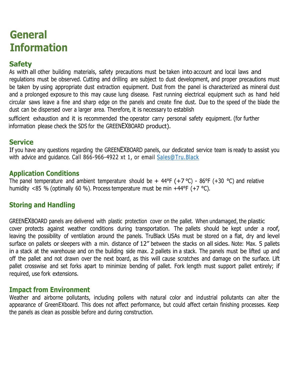### **General Information**

#### **Safety**

As with all other building materials, safety precautions must be taken into account and local laws and regulations must be observed. Cutting and drilling are subject to dust development, and proper precautions must be taken by using appropriate dust extraction equipment. Dust from the panel is characterized as mineral dust and a prolonged exposure to this may cause lung disease. Fast running electrical equipment such as hand held circular saws leave a fine and sharp edge on the panels and create fine dust. Due to the speed of the blade the dust can be dispersed over a larger area. Therefore, it is necessary to establish

sufficient exhaustion and it is recommended the operator carry personal safety equipment. (for further information please check the SDS for the GREENEXBOARD product).

#### **Service**

If you have any questions regarding the GREENEXBOARD panels, our dedicated service team is ready to assist you with advice and guidance. Call 866-966-4922 xt 1, or email [Sales@Tru.Black](mailto:Sales@Tru.Black)

#### **Application Conditions**

The panel temperature and ambient temperature should be  $+$  44°F (+7 °C) - 86°F (+30 °C) and relative humidity <85 % (optimally 60 %). Process temperature must be min +44°F (+7 °C).

#### **Storing and Handling**

GREENEXBOARD panels are delivered with plastic protection cover on the pallet. When undamaged, the plastic cover protects against weather conditions during transportation. The pallets should be kept under a roof, leaving the possibility of ventilation around the panels. TruBlack USAs must be stored on a flat, dry and level surface on pallets or sleepers with a min. distance of 12" between the stacks on all sides. Note: Max. 5 pallets in a stack at the warehouse and on the building side max. 2 pallets in a stack. The panels must be lifted up and off the pallet and not drawn over the next board, as this will cause scratches and damage on the surface. Lift pallet crosswise and set forks apart to minimize bending of pallet. Fork length must support pallet entirely; if required, use fork extensions.

#### **Impact from Environment**

Weather and airborne pollutants, including pollens with natural color and industrial pollutants can alter the appearance of GreenEXboard. This does not affect performance, but could affect certain finishing processes. Keep the panels as clean as possible before and during construction.